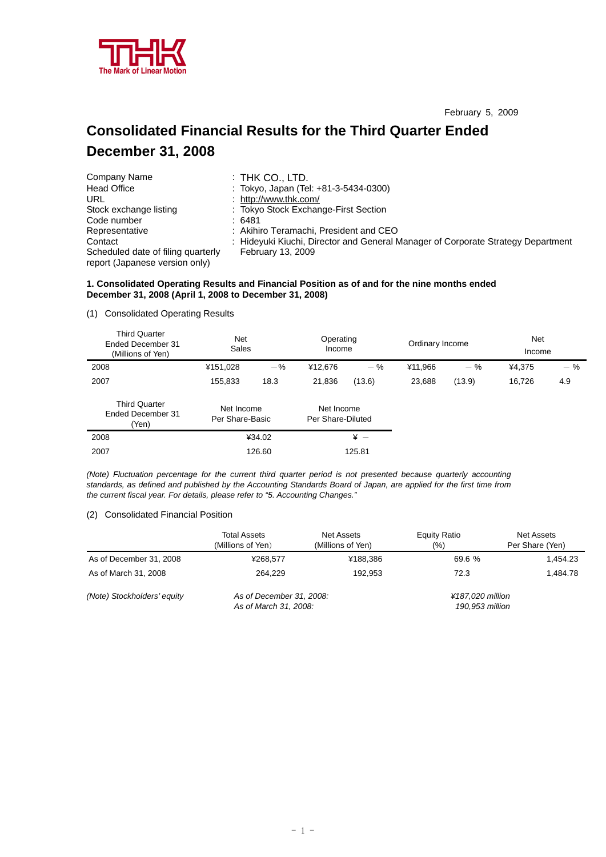

# **Consolidated Financial Results for the Third Quarter Ended December 31, 2008**

| Company Name                                                         | $:$ Thk Co., LTD.                                                                |
|----------------------------------------------------------------------|----------------------------------------------------------------------------------|
| <b>Head Office</b>                                                   | : Tokyo, Japan (Tel: +81-3-5434-0300)                                            |
| URL                                                                  | : http://www.thk.com/                                                            |
| Stock exchange listing                                               | : Tokyo Stock Exchange-First Section                                             |
| Code number                                                          | :6481                                                                            |
| Representative                                                       | : Akihiro Teramachi, President and CEO                                           |
| Contact                                                              | : Hideyuki Kiuchi, Director and General Manager of Corporate Strategy Department |
| Scheduled date of filing quarterly<br>report (Japanese version only) | <b>February 13, 2009</b>                                                         |

# **1. Consolidated Operating Results and Financial Position as of and for the nine months ended December 31, 2008 (April 1, 2008 to December 31, 2008)**

# (1) Consolidated Operating Results

| <b>Third Quarter</b><br>Ended December 31<br>(Millions of Yen) | <b>Net</b><br>Sales           |        | Operating<br>Income             |                 | Ordinary Income |        | <b>Net</b><br>Income |       |
|----------------------------------------------------------------|-------------------------------|--------|---------------------------------|-----------------|-----------------|--------|----------------------|-------|
| 2008                                                           | ¥151,028                      | $-$ %  | ¥12,676                         | $-$ %           | ¥11,966         | $-$ %  | ¥4,375               | $-$ % |
| 2007                                                           | 155,833                       | 18.3   | 21,836                          | (13.6)          | 23,688          | (13.9) | 16,726               | 4.9   |
| <b>Third Quarter</b><br>Ended December 31<br>(Yen)             | Net Income<br>Per Share-Basic |        | Net Income<br>Per Share-Diluted |                 |                 |        |                      |       |
| 2008                                                           |                               | ¥34.02 |                                 | $\frac{1}{2}$ - |                 |        |                      |       |
| 2007                                                           |                               | 126.60 |                                 | 125.81          |                 |        |                      |       |

*(Note) Fluctuation percentage for the current third quarter period is not presented because quarterly accounting standards, as defined and published by the Accounting Standards Board of Japan, are applied for the first time from the current fiscal year. For details, please refer to "5. Accounting Changes."* 

# (2) Consolidated Financial Position

|                             | <b>Total Assets</b><br>(Millions of Yen)          | Net Assets<br>(Millions of Yen) | Equity Ratio<br>(% )                | Net Assets<br>Per Share (Yen) |
|-----------------------------|---------------------------------------------------|---------------------------------|-------------------------------------|-------------------------------|
| As of December 31, 2008     | ¥268.577                                          | ¥188.386                        | 69.6 %                              | 1.454.23                      |
| As of March 31, 2008        | 264.229                                           | 192.953                         | 72.3                                | 1.484.78                      |
| (Note) Stockholders' equity | As of December 31, 2008:<br>As of March 31, 2008: |                                 | ¥187.020 million<br>190.953 million |                               |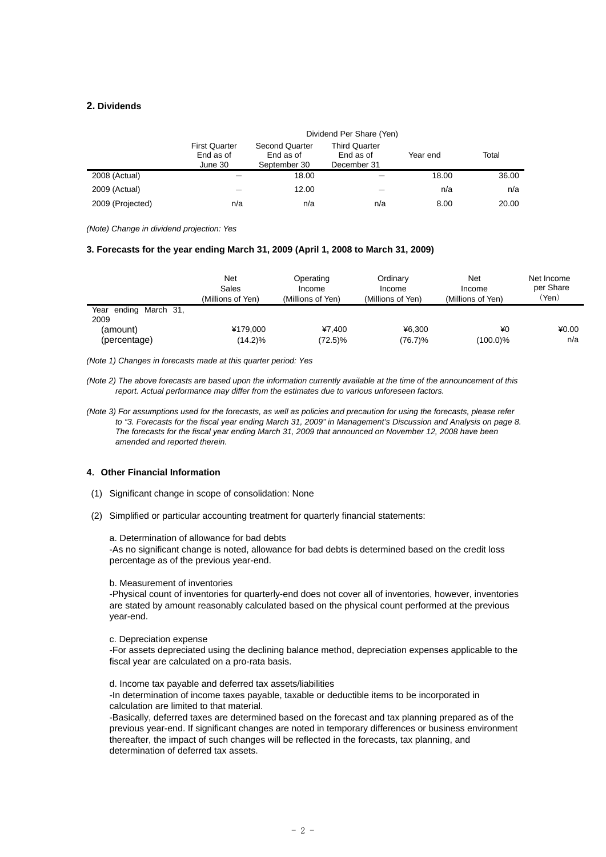# **2. Dividends**

|                  | Dividend Per Share (Yen)                     |                                                    |                                                  |          |       |  |  |
|------------------|----------------------------------------------|----------------------------------------------------|--------------------------------------------------|----------|-------|--|--|
|                  | <b>First Quarter</b><br>End as of<br>June 30 | <b>Second Quarter</b><br>End as of<br>September 30 | <b>Third Quarter</b><br>End as of<br>December 31 | Year end | Total |  |  |
| 2008 (Actual)    |                                              | 18.00                                              |                                                  | 18.00    | 36.00 |  |  |
| 2009 (Actual)    |                                              | 12.00                                              |                                                  | n/a      | n/a   |  |  |
| 2009 (Projected) | n/a                                          | n/a                                                | n/a                                              | 8.00     | 20.00 |  |  |

*(Note) Change in dividend projection: Yes* 

#### **3. Forecasts for the year ending March 31, 2009 (April 1, 2008 to March 31, 2009)**

|                               | Net<br>Sales<br>(Millions of Yen) | Operating<br>Income<br>(Millions of Yen) | Ordinary<br>Income<br>(Millions of Yen) | Net<br>Income<br>(Millions of Yen) | Net Income<br>per Share<br>(Yen) |
|-------------------------------|-----------------------------------|------------------------------------------|-----------------------------------------|------------------------------------|----------------------------------|
| Year ending March 31,<br>2009 |                                   |                                          |                                         |                                    |                                  |
| (amount)                      | ¥179.000                          | ¥7.400                                   | ¥6,300                                  | ¥0                                 | ¥0.00                            |
| (percentage)                  | $(14.2)\%$                        | (72.5)%                                  | (76.7)%                                 | $(100.0)\%$                        | n/a                              |

*(Note 1) Changes in forecasts made at this quarter period: Yes* 

*(Note 2) The above forecasts are based upon the information currently available at the time of the announcement of this report. Actual performance may differ from the estimates due to various unforeseen factors.* 

*(Note 3) For assumptions used for the forecasts, as well as policies and precaution for using the forecasts, please refer*  to "3. Forecasts for the fiscal year ending March 31, 2009" in Management's Discussion and Analysis on page 8. *The forecasts for the fiscal year ending March 31, 2009 that announced on November 12, 2008 have been amended and reported therein.* 

#### **4**.**Other Financial Information**

- (1) Significant change in scope of consolidation: None
- (2) Simplified or particular accounting treatment for quarterly financial statements:

a. Determination of allowance for bad debts

-As no significant change is noted, allowance for bad debts is determined based on the credit loss percentage as of the previous year-end.

#### b. Measurement of inventories

-Physical count of inventories for quarterly-end does not cover all of inventories, however, inventories are stated by amount reasonably calculated based on the physical count performed at the previous year-end.

#### c. Depreciation expense

-For assets depreciated using the declining balance method, depreciation expenses applicable to the fiscal year are calculated on a pro-rata basis.

d. Income tax payable and deferred tax assets/liabilities

-In determination of income taxes payable, taxable or deductible items to be incorporated in calculation are limited to that material.

-Basically, deferred taxes are determined based on the forecast and tax planning prepared as of the previous year-end. If significant changes are noted in temporary differences or business environment thereafter, the impact of such changes will be reflected in the forecasts, tax planning, and determination of deferred tax assets.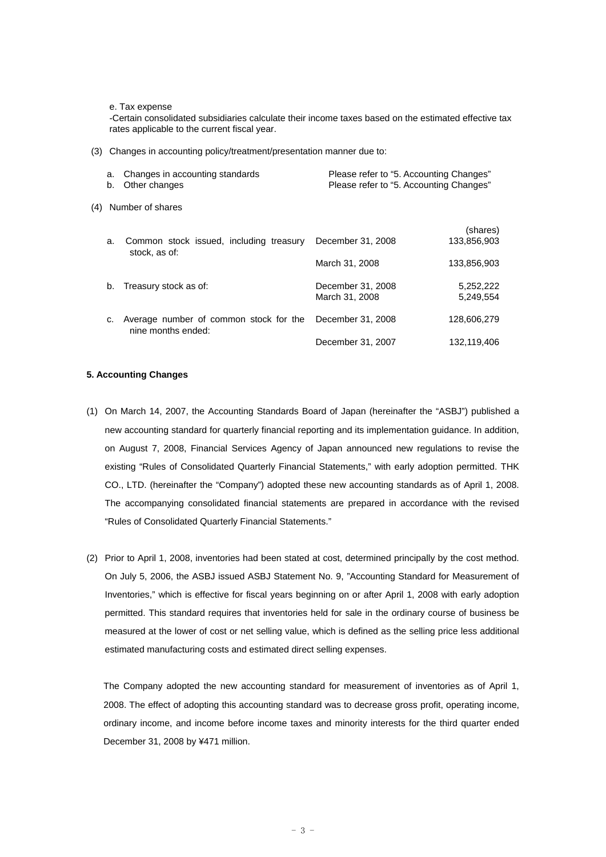e. Tax expense

-Certain consolidated subsidiaries calculate their income taxes based on the estimated effective tax rates applicable to the current fiscal year.

(3) Changes in accounting policy/treatment/presentation manner due to:

| a. Changes in accounting standards | Please refer to "5. Accounting Changes" |
|------------------------------------|-----------------------------------------|
| b. Other changes                   | Please refer to "5. Accounting Changes" |
|                                    |                                         |

(4) Number of shares

| a. | Common stock issued, including treasury<br>stock, as of:     | December 31, 2008                   | (shares)<br>133,856,903 |
|----|--------------------------------------------------------------|-------------------------------------|-------------------------|
|    |                                                              | March 31, 2008                      | 133,856,903             |
| b. | Treasury stock as of:                                        | December 31, 2008<br>March 31, 2008 | 5,252,222<br>5,249,554  |
| C. | Average number of common stock for the<br>nine months ended: | December 31, 2008                   | 128,606,279             |
|    |                                                              | December 31, 2007                   | 132,119,406             |

#### **5. Accounting Changes**

- (1) On March 14, 2007, the Accounting Standards Board of Japan (hereinafter the "ASBJ") published a new accounting standard for quarterly financial reporting and its implementation guidance. In addition, on August 7, 2008, Financial Services Agency of Japan announced new regulations to revise the existing "Rules of Consolidated Quarterly Financial Statements," with early adoption permitted. THK CO., LTD. (hereinafter the "Company") adopted these new accounting standards as of April 1, 2008. The accompanying consolidated financial statements are prepared in accordance with the revised "Rules of Consolidated Quarterly Financial Statements."
- (2) Prior to April 1, 2008, inventories had been stated at cost, determined principally by the cost method. On July 5, 2006, the ASBJ issued ASBJ Statement No. 9, "Accounting Standard for Measurement of Inventories," which is effective for fiscal years beginning on or after April 1, 2008 with early adoption permitted. This standard requires that inventories held for sale in the ordinary course of business be measured at the lower of cost or net selling value, which is defined as the selling price less additional estimated manufacturing costs and estimated direct selling expenses.

The Company adopted the new accounting standard for measurement of inventories as of April 1, 2008. The effect of adopting this accounting standard was to decrease gross profit, operating income, ordinary income, and income before income taxes and minority interests for the third quarter ended December 31, 2008 by ¥471 million.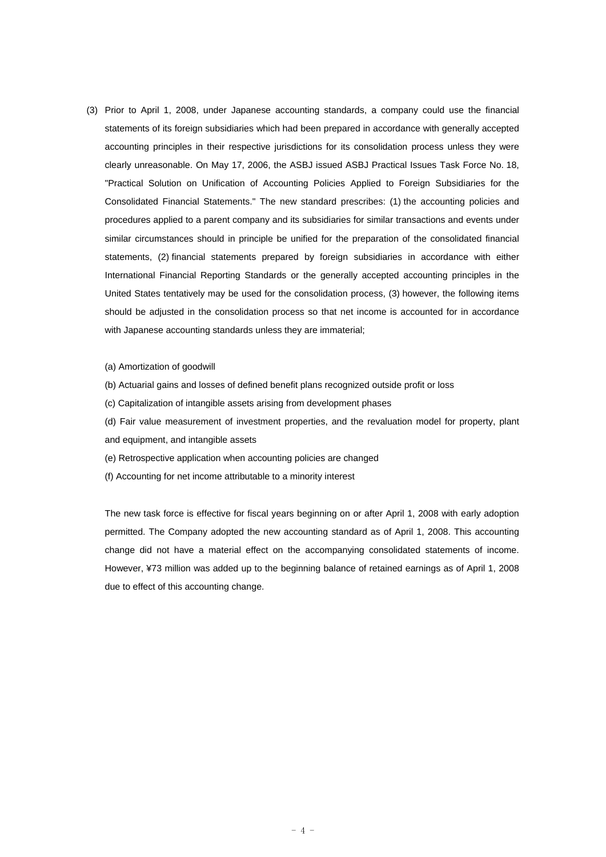- (3) Prior to April 1, 2008, under Japanese accounting standards, a company could use the financial statements of its foreign subsidiaries which had been prepared in accordance with generally accepted accounting principles in their respective jurisdictions for its consolidation process unless they were clearly unreasonable. On May 17, 2006, the ASBJ issued ASBJ Practical Issues Task Force No. 18, "Practical Solution on Unification of Accounting Policies Applied to Foreign Subsidiaries for the Consolidated Financial Statements." The new standard prescribes: (1) the accounting policies and procedures applied to a parent company and its subsidiaries for similar transactions and events under similar circumstances should in principle be unified for the preparation of the consolidated financial statements, (2) financial statements prepared by foreign subsidiaries in accordance with either International Financial Reporting Standards or the generally accepted accounting principles in the United States tentatively may be used for the consolidation process, (3) however, the following items should be adjusted in the consolidation process so that net income is accounted for in accordance with Japanese accounting standards unless they are immaterial;
	- (a) Amortization of goodwill
	- (b) Actuarial gains and losses of defined benefit plans recognized outside profit or loss
	- (c) Capitalization of intangible assets arising from development phases

(d) Fair value measurement of investment properties, and the revaluation model for property, plant and equipment, and intangible assets

- (e) Retrospective application when accounting policies are changed
- (f) Accounting for net income attributable to a minority interest

The new task force is effective for fiscal years beginning on or after April 1, 2008 with early adoption permitted. The Company adopted the new accounting standard as of April 1, 2008. This accounting change did not have a material effect on the accompanying consolidated statements of income. However, ¥73 million was added up to the beginning balance of retained earnings as of April 1, 2008 due to effect of this accounting change.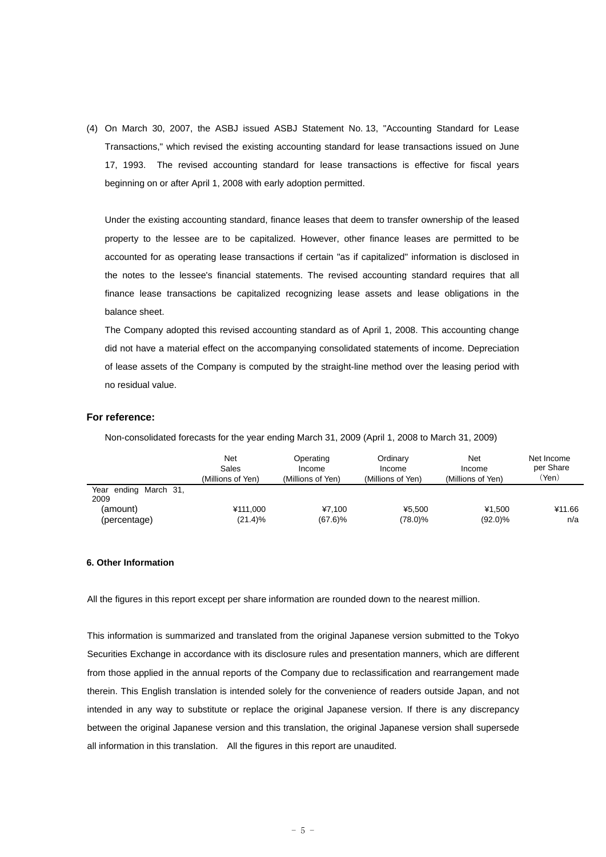(4) On March 30, 2007, the ASBJ issued ASBJ Statement No. 13, "Accounting Standard for Lease Transactions," which revised the existing accounting standard for lease transactions issued on June 17, 1993. The revised accounting standard for lease transactions is effective for fiscal years beginning on or after April 1, 2008 with early adoption permitted.

Under the existing accounting standard, finance leases that deem to transfer ownership of the leased property to the lessee are to be capitalized. However, other finance leases are permitted to be accounted for as operating lease transactions if certain "as if capitalized" information is disclosed in the notes to the lessee's financial statements. The revised accounting standard requires that all finance lease transactions be capitalized recognizing lease assets and lease obligations in the balance sheet.

The Company adopted this revised accounting standard as of April 1, 2008. This accounting change did not have a material effect on the accompanying consolidated statements of income. Depreciation of lease assets of the Company is computed by the straight-line method over the leasing period with no residual value.

# **For reference:**

Non-consolidated forecasts for the year ending March 31, 2009 (April 1, 2008 to March 31, 2009)

|                               | Net<br>Sales<br>(Millions of Yen) | Operating<br>Income<br>(Millions of Yen) | Ordinary<br>Income<br>(Millions of Yen) | Net<br>Income<br>(Millions of Yen) | Net Income<br>per Share<br>'Yen) |
|-------------------------------|-----------------------------------|------------------------------------------|-----------------------------------------|------------------------------------|----------------------------------|
| Year ending March 31,<br>2009 |                                   |                                          |                                         |                                    |                                  |
| (amount).                     | ¥111.000                          | ¥7.100                                   | ¥5.500                                  | ¥1.500                             | ¥11.66                           |
| (percentage)                  | $(21.4)\%$                        | $(67.6)\%$                               | (78.0)%                                 | $(92.0)\%$                         | n/a                              |

#### **6. Other Information**

All the figures in this report except per share information are rounded down to the nearest million.

This information is summarized and translated from the original Japanese version submitted to the Tokyo Securities Exchange in accordance with its disclosure rules and presentation manners, which are different from those applied in the annual reports of the Company due to reclassification and rearrangement made therein. This English translation is intended solely for the convenience of readers outside Japan, and not intended in any way to substitute or replace the original Japanese version. If there is any discrepancy between the original Japanese version and this translation, the original Japanese version shall supersede all information in this translation. All the figures in this report are unaudited.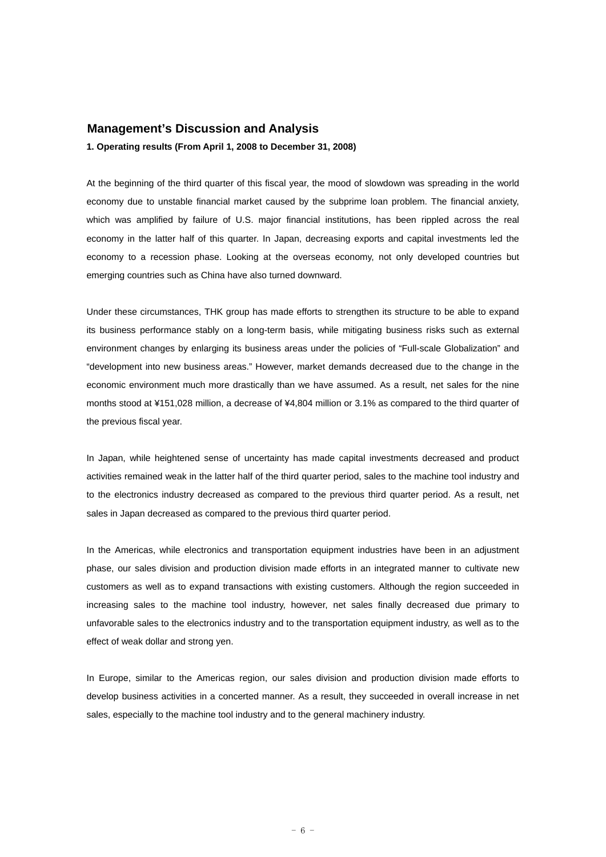# **Management's Discussion and Analysis**

**1. Operating results (From April 1, 2008 to December 31, 2008)** 

At the beginning of the third quarter of this fiscal year, the mood of slowdown was spreading in the world economy due to unstable financial market caused by the subprime loan problem. The financial anxiety, which was amplified by failure of U.S. major financial institutions, has been rippled across the real economy in the latter half of this quarter. In Japan, decreasing exports and capital investments led the economy to a recession phase. Looking at the overseas economy, not only developed countries but emerging countries such as China have also turned downward.

Under these circumstances, THK group has made efforts to strengthen its structure to be able to expand its business performance stably on a long-term basis, while mitigating business risks such as external environment changes by enlarging its business areas under the policies of "Full-scale Globalization" and "development into new business areas." However, market demands decreased due to the change in the economic environment much more drastically than we have assumed. As a result, net sales for the nine months stood at ¥151,028 million, a decrease of ¥4,804 million or 3.1% as compared to the third quarter of the previous fiscal year.

In Japan, while heightened sense of uncertainty has made capital investments decreased and product activities remained weak in the latter half of the third quarter period, sales to the machine tool industry and to the electronics industry decreased as compared to the previous third quarter period. As a result, net sales in Japan decreased as compared to the previous third quarter period.

In the Americas, while electronics and transportation equipment industries have been in an adjustment phase, our sales division and production division made efforts in an integrated manner to cultivate new customers as well as to expand transactions with existing customers. Although the region succeeded in increasing sales to the machine tool industry, however, net sales finally decreased due primary to unfavorable sales to the electronics industry and to the transportation equipment industry, as well as to the effect of weak dollar and strong yen.

In Europe, similar to the Americas region, our sales division and production division made efforts to develop business activities in a concerted manner. As a result, they succeeded in overall increase in net sales, especially to the machine tool industry and to the general machinery industry.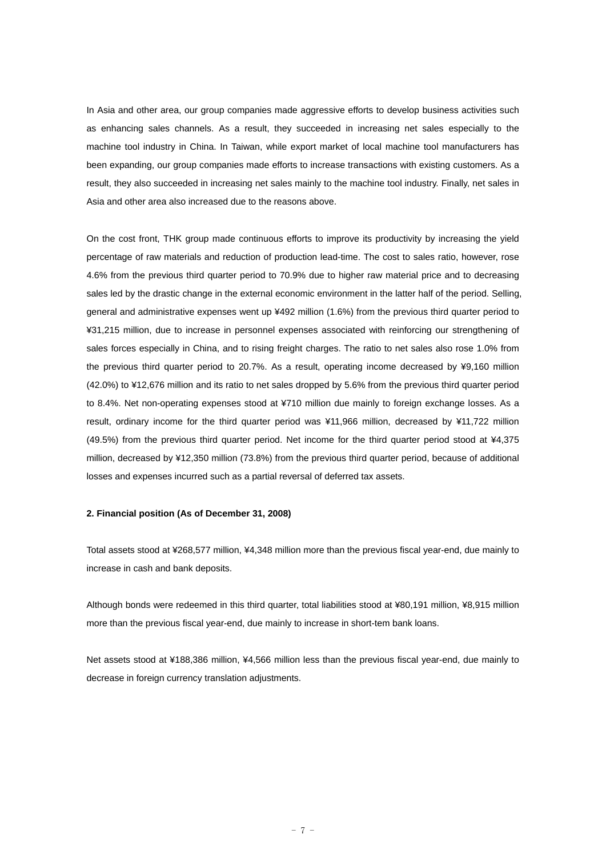In Asia and other area, our group companies made aggressive efforts to develop business activities such as enhancing sales channels. As a result, they succeeded in increasing net sales especially to the machine tool industry in China. In Taiwan, while export market of local machine tool manufacturers has been expanding, our group companies made efforts to increase transactions with existing customers. As a result, they also succeeded in increasing net sales mainly to the machine tool industry. Finally, net sales in Asia and other area also increased due to the reasons above.

On the cost front, THK group made continuous efforts to improve its productivity by increasing the yield percentage of raw materials and reduction of production lead-time. The cost to sales ratio, however, rose 4.6% from the previous third quarter period to 70.9% due to higher raw material price and to decreasing sales led by the drastic change in the external economic environment in the latter half of the period. Selling, general and administrative expenses went up ¥492 million (1.6%) from the previous third quarter period to ¥31,215 million, due to increase in personnel expenses associated with reinforcing our strengthening of sales forces especially in China, and to rising freight charges. The ratio to net sales also rose 1.0% from the previous third quarter period to 20.7%. As a result, operating income decreased by ¥9,160 million (42.0%) to ¥12,676 million and its ratio to net sales dropped by 5.6% from the previous third quarter period to 8.4%. Net non-operating expenses stood at ¥710 million due mainly to foreign exchange losses. As a result, ordinary income for the third quarter period was ¥11,966 million, decreased by ¥11,722 million (49.5%) from the previous third quarter period. Net income for the third quarter period stood at ¥4,375 million, decreased by ¥12,350 million (73.8%) from the previous third quarter period, because of additional losses and expenses incurred such as a partial reversal of deferred tax assets.

#### **2. Financial position (As of December 31, 2008)**

Total assets stood at ¥268,577 million, ¥4,348 million more than the previous fiscal year-end, due mainly to increase in cash and bank deposits.

Although bonds were redeemed in this third quarter, total liabilities stood at ¥80,191 million, ¥8,915 million more than the previous fiscal year-end, due mainly to increase in short-tem bank loans.

Net assets stood at ¥188,386 million, ¥4,566 million less than the previous fiscal year-end, due mainly to decrease in foreign currency translation adjustments.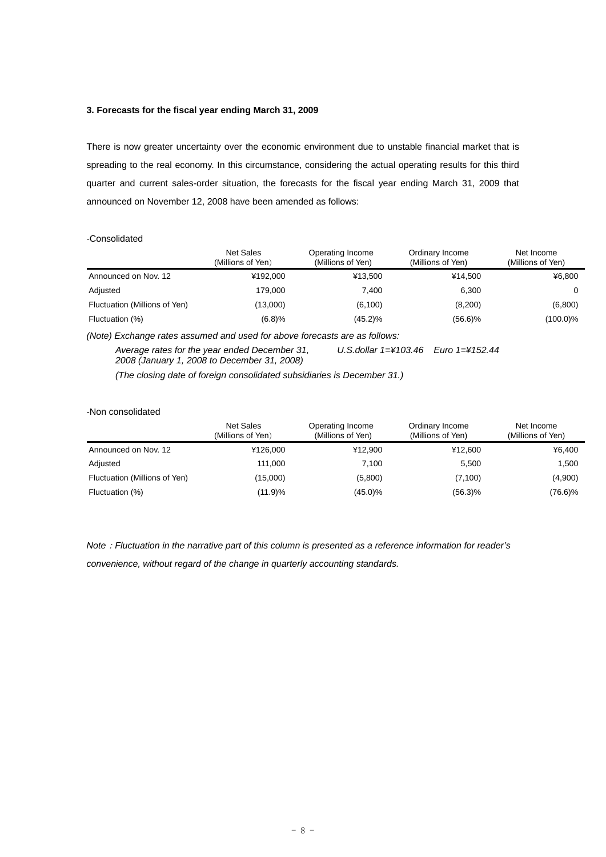# **3. Forecasts for the fiscal year ending March 31, 2009**

There is now greater uncertainty over the economic environment due to unstable financial market that is spreading to the real economy. In this circumstance, considering the actual operating results for this third quarter and current sales-order situation, the forecasts for the fiscal year ending March 31, 2009 that announced on November 12, 2008 have been amended as follows:

#### -Consolidated

|                               | <b>Net Sales</b><br>(Millions of Yen) | Operating Income<br>(Millions of Yen) | Ordinary Income<br>(Millions of Yen) | Net Income<br>(Millions of Yen) |
|-------------------------------|---------------------------------------|---------------------------------------|--------------------------------------|---------------------------------|
| Announced on Nov. 12          | ¥192.000                              | ¥13.500                               | ¥14.500                              | ¥6,800                          |
| Adjusted                      | 179.000                               | 7.400                                 | 6.300                                | $\Omega$                        |
| Fluctuation (Millions of Yen) | (13,000)                              | (6, 100)                              | (8,200)                              | (6,800)                         |
| Fluctuation (%)               | (6.8)%                                | $(45.2)\%$                            | $(56.6)\%$                           | (100.0)%                        |

*(Note) Exchange rates assumed and used for above forecasts are as follows:* 

*Average rates for the year ended December 31, 2008 (January 1, 2008 to December 31, 2008) U.S.dollar 1=¥103.46 Euro 1=¥152.44* 

*(The closing date of foreign consolidated subsidiaries is December 31.)* 

#### -Non consolidated

|                               | Net Sales<br>(Millions of Yen) | Operating Income<br>(Millions of Yen) | Ordinary Income<br>(Millions of Yen) | Net Income<br>(Millions of Yen) |
|-------------------------------|--------------------------------|---------------------------------------|--------------------------------------|---------------------------------|
| Announced on Nov. 12          | ¥126,000                       | ¥12.900                               | ¥12.600                              | ¥6.400                          |
| Adjusted                      | 111,000                        | 7.100                                 | 5.500                                | 1,500                           |
| Fluctuation (Millions of Yen) | (15,000)                       | (5,800)                               | (7, 100)                             | (4,900)                         |
| Fluctuation (%)               | (11.9)%                        | $(45.0)\%$                            | $(56.3)\%$                           | (76.6)%                         |

*Note*:*Fluctuation in the narrative part of this column is presented as a reference information for reader's* 

*convenience, without regard of the change in quarterly accounting standards.*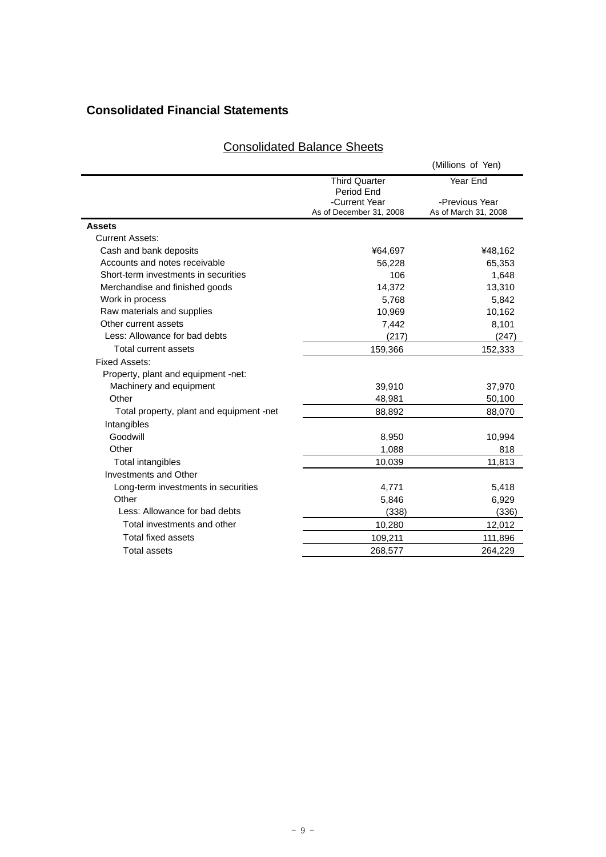# **Consolidated Financial Statements**

|                                          |                                                        | (Millions of Yen)                      |
|------------------------------------------|--------------------------------------------------------|----------------------------------------|
|                                          | <b>Third Quarter</b>                                   | Year End                               |
|                                          | Period End<br>-Current Year<br>As of December 31, 2008 | -Previous Year<br>As of March 31, 2008 |
| <b>Assets</b>                            |                                                        |                                        |
| <b>Current Assets:</b>                   |                                                        |                                        |
| Cash and bank deposits                   | ¥64,697                                                | ¥48,162                                |
| Accounts and notes receivable            | 56,228                                                 | 65,353                                 |
| Short-term investments in securities     | 106                                                    | 1,648                                  |
| Merchandise and finished goods           | 14,372                                                 | 13,310                                 |
| Work in process                          | 5,768                                                  | 5,842                                  |
| Raw materials and supplies               | 10,969                                                 | 10,162                                 |
| Other current assets                     | 7,442                                                  | 8,101                                  |
| Less: Allowance for bad debts            | (217)                                                  | (247)                                  |
| <b>Total current assets</b>              | 159,366                                                | 152,333                                |
| Fixed Assets:                            |                                                        |                                        |
| Property, plant and equipment -net:      |                                                        |                                        |
| Machinery and equipment                  | 39,910                                                 | 37,970                                 |
| Other                                    | 48,981                                                 | 50,100                                 |
| Total property, plant and equipment -net | 88,892                                                 | 88,070                                 |
| Intangibles                              |                                                        |                                        |
| Goodwill                                 | 8,950                                                  | 10,994                                 |
| Other                                    | 1,088                                                  | 818                                    |
| Total intangibles                        | 10,039                                                 | 11,813                                 |
| <b>Investments and Other</b>             |                                                        |                                        |
| Long-term investments in securities      | 4,771                                                  | 5,418                                  |
| Other                                    | 5,846                                                  | 6,929                                  |
| Less: Allowance for bad debts            | (338)                                                  | (336)                                  |
| Total investments and other              | 10,280                                                 | 12,012                                 |
| Total fixed assets                       | 109,211                                                | 111,896                                |
| <b>Total assets</b>                      | 268,577                                                | 264,229                                |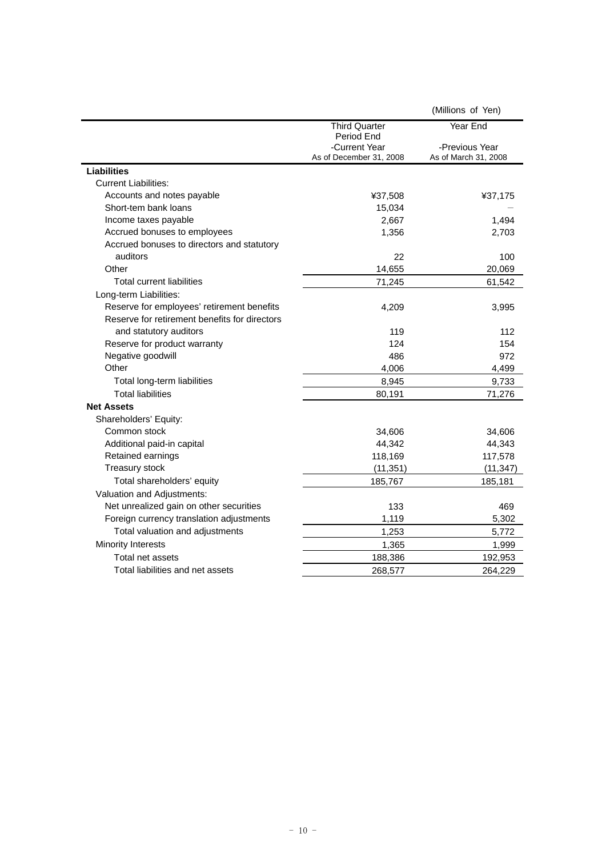|                                               |                                          | (Millions of Yen)                      |
|-----------------------------------------------|------------------------------------------|----------------------------------------|
|                                               | <b>Third Quarter</b><br>Period End       | Year End                               |
|                                               | -Current Year<br>As of December 31, 2008 | -Previous Year<br>As of March 31, 2008 |
| <b>Liabilities</b>                            |                                          |                                        |
| <b>Current Liabilities:</b>                   |                                          |                                        |
| Accounts and notes payable                    | ¥37,508                                  | ¥37,175                                |
| Short-tem bank loans                          | 15,034                                   |                                        |
| Income taxes payable                          | 2,667                                    | 1,494                                  |
| Accrued bonuses to employees                  | 1,356                                    | 2,703                                  |
| Accrued bonuses to directors and statutory    |                                          |                                        |
| auditors                                      | 22                                       | 100                                    |
| Other                                         | 14,655                                   | 20,069                                 |
| <b>Total current liabilities</b>              | 71,245                                   | 61,542                                 |
| Long-term Liabilities:                        |                                          |                                        |
| Reserve for employees' retirement benefits    | 4,209                                    | 3,995                                  |
| Reserve for retirement benefits for directors |                                          |                                        |
| and statutory auditors                        | 119                                      | 112                                    |
| Reserve for product warranty                  | 124                                      | 154                                    |
| Negative goodwill                             | 486                                      | 972                                    |
| Other                                         | 4,006                                    | 4,499                                  |
| Total long-term liabilities                   | 8,945                                    | 9,733                                  |
| <b>Total liabilities</b>                      | 80,191                                   | 71,276                                 |
| <b>Net Assets</b>                             |                                          |                                        |
| Shareholders' Equity:                         |                                          |                                        |
| Common stock                                  | 34,606                                   | 34,606                                 |
| Additional paid-in capital                    | 44,342                                   | 44,343                                 |
| Retained earnings                             | 118,169                                  | 117,578                                |
| Treasury stock                                | (11, 351)                                | (11, 347)                              |
| Total shareholders' equity                    | 185,767                                  | 185,181                                |
| Valuation and Adjustments:                    |                                          |                                        |
| Net unrealized gain on other securities       | 133                                      | 469                                    |
| Foreign currency translation adjustments      | 1,119                                    | 5,302                                  |
| Total valuation and adjustments               | 1,253                                    | 5,772                                  |
| <b>Minority Interests</b>                     | 1,365                                    | 1,999                                  |
| Total net assets                              | 188,386                                  | 192,953                                |
| Total liabilities and net assets              | 268,577                                  | 264,229                                |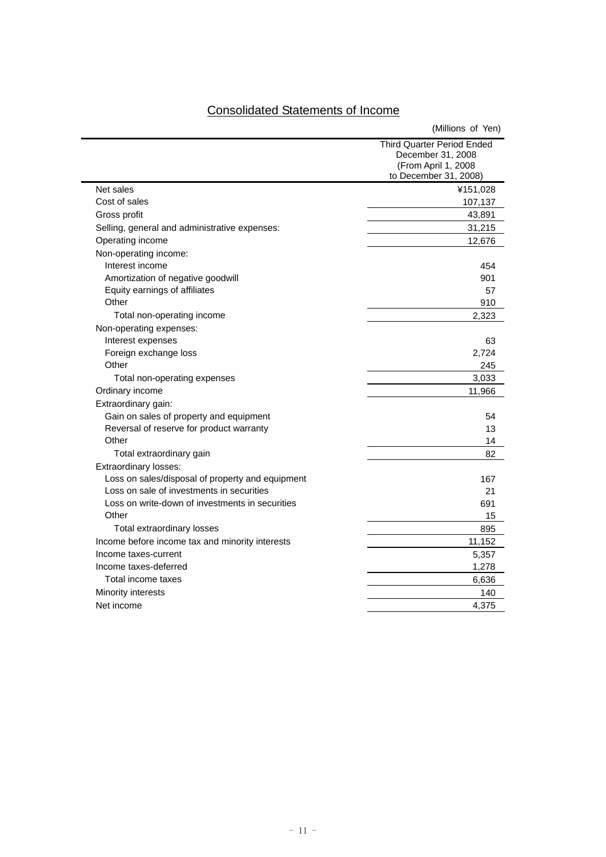$\overline{\phantom{0}}$ 

Ē.

|                                                  | (Millions of Yen)                                                                                      |
|--------------------------------------------------|--------------------------------------------------------------------------------------------------------|
|                                                  | <b>Third Quarter Period Ended</b><br>December 31, 2008<br>(From April 1, 2008<br>to December 31, 2008) |
| Net sales                                        | ¥151,028                                                                                               |
| Cost of sales                                    | 107,137                                                                                                |
| Gross profit                                     | 43,891                                                                                                 |
| Selling, general and administrative expenses:    | 31,215                                                                                                 |
| Operating income                                 | 12,676                                                                                                 |
| Non-operating income:                            |                                                                                                        |
| Interest income                                  | 454                                                                                                    |
| Amortization of negative goodwill                | 901                                                                                                    |
| Equity earnings of affiliates                    | 57                                                                                                     |
| Other                                            | 910                                                                                                    |
| Total non-operating income                       | 2,323                                                                                                  |
| Non-operating expenses:                          |                                                                                                        |
| Interest expenses                                | 63                                                                                                     |
| Foreign exchange loss                            | 2,724                                                                                                  |
| Other                                            | 245                                                                                                    |
| Total non-operating expenses                     | 3,033                                                                                                  |
| Ordinary income                                  | 11,966                                                                                                 |
| Extraordinary gain:                              |                                                                                                        |
| Gain on sales of property and equipment          | 54                                                                                                     |
| Reversal of reserve for product warranty         | 13                                                                                                     |
| Other                                            | 14                                                                                                     |
| Total extraordinary gain                         | 82                                                                                                     |
| Extraordinary losses:                            |                                                                                                        |
| Loss on sales/disposal of property and equipment | 167                                                                                                    |
| Loss on sale of investments in securities        | 21                                                                                                     |
| Loss on write-down of investments in securities  | 691                                                                                                    |
| Other                                            | 15                                                                                                     |
| Total extraordinary losses                       | 895                                                                                                    |
| Income before income tax and minority interests  | 11,152                                                                                                 |
| Income taxes-current                             | 5,357                                                                                                  |
| Income taxes-deferred                            | 1,278                                                                                                  |
| Total income taxes                               | 6,636                                                                                                  |
| Minority interests                               | 140                                                                                                    |
| Net income                                       | 4.375                                                                                                  |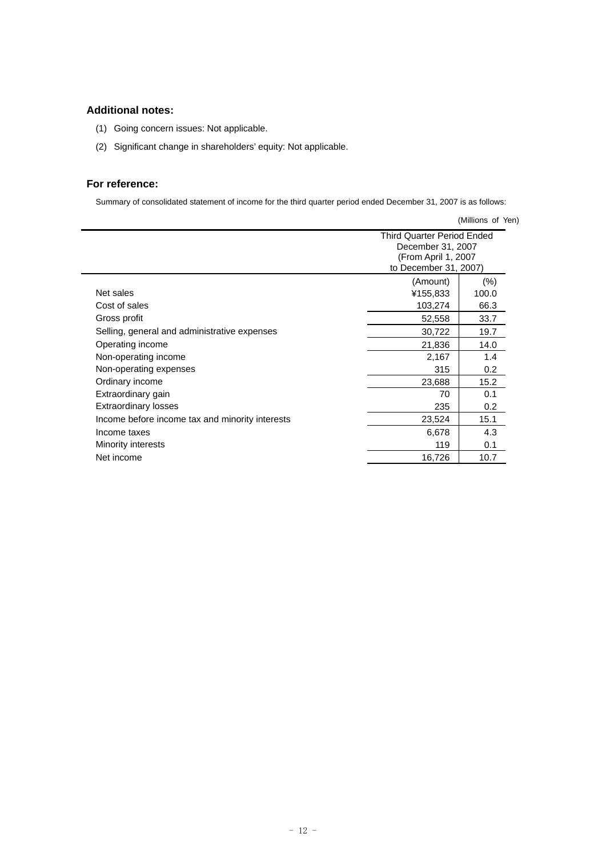# **Additional notes:**

- (1) Going concern issues: Not applicable.
- (2) Significant change in shareholders' equity: Not applicable.

# **For reference:**

Summary of consolidated statement of income for the third quarter period ended December 31, 2007 is as follows:

|                                                 |                                                                                                        | (Millions of Yen)        |
|-------------------------------------------------|--------------------------------------------------------------------------------------------------------|--------------------------|
|                                                 | <b>Third Quarter Period Ended</b><br>December 31, 2007<br>(From April 1, 2007<br>to December 31, 2007) |                          |
| Net sales<br>Cost of sales                      | (Amount)<br>¥155,833<br>103,274                                                                        | $(\% )$<br>100.0<br>66.3 |
| Gross profit                                    | 52,558                                                                                                 | 33.7                     |
| Selling, general and administrative expenses    | 30,722                                                                                                 | 19.7                     |
| Operating income                                | 21,836                                                                                                 | 14.0                     |
| Non-operating income                            | 2,167                                                                                                  | 1.4                      |
| Non-operating expenses                          | 315                                                                                                    | 0.2                      |
| Ordinary income                                 | 23,688                                                                                                 | 15.2                     |
| Extraordinary gain                              | 70                                                                                                     | 0.1                      |
| <b>Extraordinary losses</b>                     | 235                                                                                                    | 0.2                      |
| Income before income tax and minority interests | 23,524                                                                                                 | 15.1                     |
| Income taxes                                    | 6,678                                                                                                  | 4.3                      |
| Minority interests                              | 119                                                                                                    | 0.1                      |
| Net income                                      | 16,726                                                                                                 | 10.7                     |